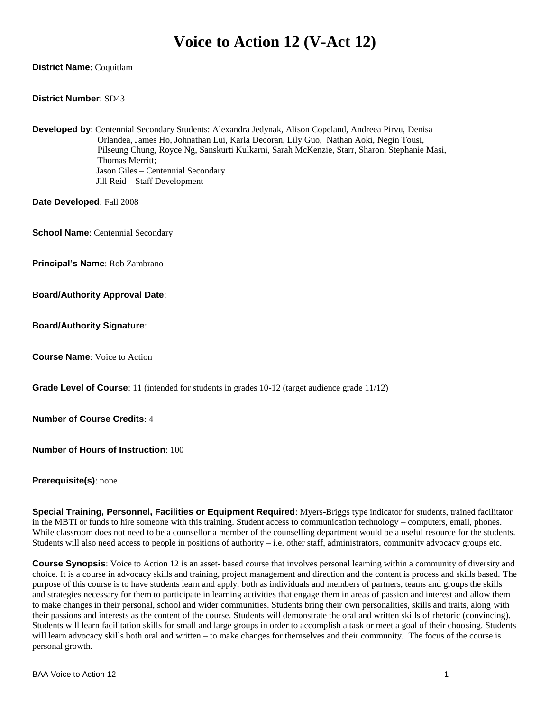# **Voice to Action 12 (V-Act 12)**

#### **District Name**: Coquitlam

#### **District Number**: SD43

**Developed by**: Centennial Secondary Students: Alexandra Jedynak, Alison Copeland, Andreea Pirvu, Denisa Orlandea, James Ho, Johnathan Lui, Karla Decoran, Lily Guo, Nathan Aoki, Negin Tousi, Pilseung Chung, Royce Ng, Sanskurti Kulkarni, Sarah McKenzie, Starr, Sharon, Stephanie Masi, Thomas Merritt; Jason Giles – Centennial Secondary Jill Reid – Staff Development

**Date Developed**: Fall 2008

**School Name**: Centennial Secondary

**Principal's Name**: Rob Zambrano

**Board/Authority Approval Date**:

**Board/Authority Signature**:

**Course Name**: Voice to Action

**Grade Level of Course**: 11 (intended for students in grades 10-12 (target audience grade 11/12)

**Number of Course Credits**: 4

**Number of Hours of Instruction**: 100

**Prerequisite(s)**: none

**Special Training, Personnel, Facilities or Equipment Required**: Myers-Briggs type indicator for students, trained facilitator in the MBTI or funds to hire someone with this training. Student access to communication technology – computers, email, phones. While classroom does not need to be a counsellor a member of the counselling department would be a useful resource for the students. Students will also need access to people in positions of authority – i.e. other staff, administrators, community advocacy groups etc.

**Course Synopsis**: Voice to Action 12 is an asset- based course that involves personal learning within a community of diversity and choice. It is a course in advocacy skills and training, project management and direction and the content is process and skills based. The purpose of this course is to have students learn and apply, both as individuals and members of partners, teams and groups the skills and strategies necessary for them to participate in learning activities that engage them in areas of passion and interest and allow them to make changes in their personal, school and wider communities. Students bring their own personalities, skills and traits, along with their passions and interests as the content of the course. Students will demonstrate the oral and written skills of rhetoric (convincing). Students will learn facilitation skills for small and large groups in order to accomplish a task or meet a goal of their choosing. Students will learn advocacy skills both oral and written – to make changes for themselves and their community. The focus of the course is personal growth.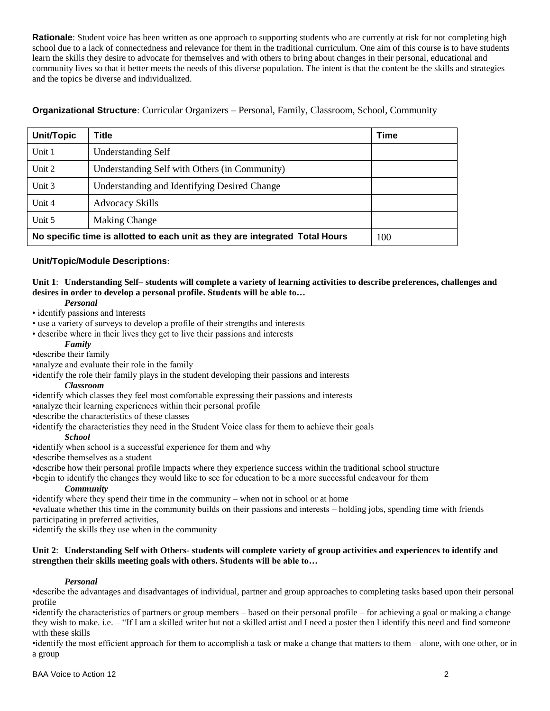**Rationale**: Student voice has been written as one approach to supporting students who are currently at risk for not completing high school due to a lack of connectedness and relevance for them in the traditional curriculum. One aim of this course is to have students learn the skills they desire to advocate for themselves and with others to bring about changes in their personal, educational and community lives so that it better meets the needs of this diverse population. The intent is that the content be the skills and strategies and the topics be diverse and individualized.

**Organizational Structure**: Curricular Organizers – Personal, Family, Classroom, School, Community

| <b>Unit/Topic</b>                                                            | Title                                         | <b>Time</b> |
|------------------------------------------------------------------------------|-----------------------------------------------|-------------|
| Unit 1                                                                       | <b>Understanding Self</b>                     |             |
| Unit 2                                                                       | Understanding Self with Others (in Community) |             |
| Unit 3                                                                       | Understanding and Identifying Desired Change  |             |
| Unit 4                                                                       | <b>Advocacy Skills</b>                        |             |
| Unit 5                                                                       | <b>Making Change</b>                          |             |
| No specific time is allotted to each unit as they are integrated Total Hours | 100                                           |             |

# **Unit/Topic/Module Descriptions**:

**Unit 1**: **Understanding Self– students will complete a variety of learning activities to describe preferences, challenges and desires in order to develop a personal profile. Students will be able to…**

#### *Personal*

• identify passions and interests

- use a variety of surveys to develop a profile of their strengths and interests
- describe where in their lives they get to live their passions and interests

#### *Family*

•describe their family

•analyze and evaluate their role in the family

•identify the role their family plays in the student developing their passions and interests

# *Classroom*

•identify which classes they feel most comfortable expressing their passions and interests

•analyze their learning experiences within their personal profile

•describe the characteristics of these classes

•identify the characteristics they need in the Student Voice class for them to achieve their goals

#### *School*

•identify when school is a successful experience for them and why

•describe themselves as a student

•describe how their personal profile impacts where they experience success within the traditional school structure

•begin to identify the changes they would like to see for education to be a more successful endeavour for them

## *Community*

•identify where they spend their time in the community – when not in school or at home

•evaluate whether this time in the community builds on their passions and interests – holding jobs, spending time with friends participating in preferred activities,

•identify the skills they use when in the community

## **Unit 2**: **Understanding Self with Others- students will complete variety of group activities and experiences to identify and strengthen their skills meeting goals with others. Students will be able to…**

## *Personal*

•describe the advantages and disadvantages of individual, partner and group approaches to completing tasks based upon their personal profile

•identify the characteristics of partners or group members – based on their personal profile – for achieving a goal or making a change they wish to make. i.e. – "If I am a skilled writer but not a skilled artist and I need a poster then I identify this need and find someone with these skills

•identify the most efficient approach for them to accomplish a task or make a change that matters to them – alone, with one other, or in a group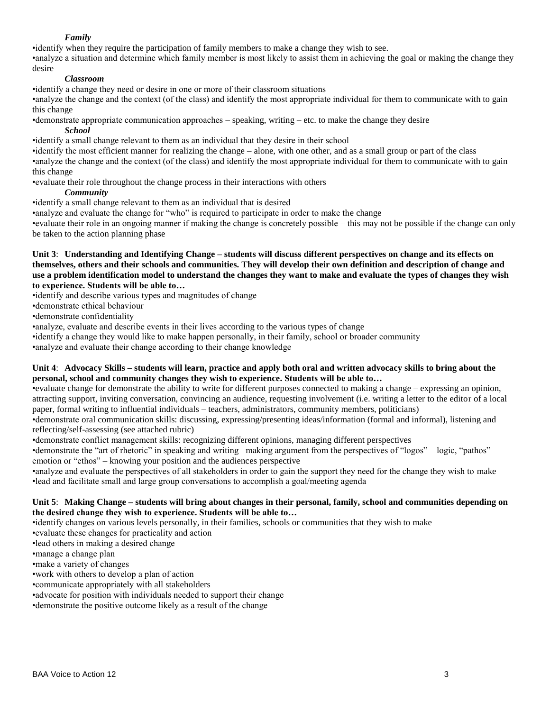# *Family*

•identify when they require the participation of family members to make a change they wish to see.

•analyze a situation and determine which family member is most likely to assist them in achieving the goal or making the change they desire

# *Classroom*

•identify a change they need or desire in one or more of their classroom situations

•analyze the change and the context (of the class) and identify the most appropriate individual for them to communicate with to gain this change

•demonstrate appropriate communication approaches – speaking, writing – etc. to make the change they desire

*School*

•identify a small change relevant to them as an individual that they desire in their school

•identify the most efficient manner for realizing the change – alone, with one other, and as a small group or part of the class •analyze the change and the context (of the class) and identify the most appropriate individual for them to communicate with to gain this change

•evaluate their role throughout the change process in their interactions with others

# *Community*

•identify a small change relevant to them as an individual that is desired

•analyze and evaluate the change for "who" is required to participate in order to make the change

•evaluate their role in an ongoing manner if making the change is concretely possible – this may not be possible if the change can only be taken to the action planning phase

**Unit 3**: **Understanding and Identifying Change – students will discuss different perspectives on change and its effects on themselves, others and their schools and communities. They will develop their own definition and description of change and use a problem identification model to understand the changes they want to make and evaluate the types of changes they wish to experience. Students will be able to…**

•identify and describe various types and magnitudes of change

•demonstrate ethical behaviour

•demonstrate confidentiality

•analyze, evaluate and describe events in their lives according to the various types of change

•identify a change they would like to make happen personally, in their family, school or broader community

•analyze and evaluate their change according to their change knowledge

## **Unit 4**: **Advocacy Skills – students will learn, practice and apply both oral and written advocacy skills to bring about the personal, school and community changes they wish to experience. Students will be able to…**

•evaluate change for demonstrate the ability to write for different purposes connected to making a change – expressing an opinion, attracting support, inviting conversation, convincing an audience, requesting involvement (i.e. writing a letter to the editor of a local paper, formal writing to influential individuals – teachers, administrators, community members, politicians)

•demonstrate oral communication skills: discussing, expressing/presenting ideas/information (formal and informal), listening and reflecting/self-assessing (see attached rubric)

•demonstrate conflict management skills: recognizing different opinions, managing different perspectives

•demonstrate the "art of rhetoric" in speaking and writing– making argument from the perspectives of "logos" – logic, "pathos" – emotion or "ethos" – knowing your position and the audiences perspective

•analyze and evaluate the perspectives of all stakeholders in order to gain the support they need for the change they wish to make •lead and facilitate small and large group conversations to accomplish a goal/meeting agenda

# **Unit 5**: **Making Change – students will bring about changes in their personal, family, school and communities depending on the desired change they wish to experience. Students will be able to…**

•identify changes on various levels personally, in their families, schools or communities that they wish to make

•evaluate these changes for practicality and action

•lead others in making a desired change

•manage a change plan

•make a variety of changes

•work with others to develop a plan of action

•communicate appropriately with all stakeholders

•advocate for position with individuals needed to support their change

•demonstrate the positive outcome likely as a result of the change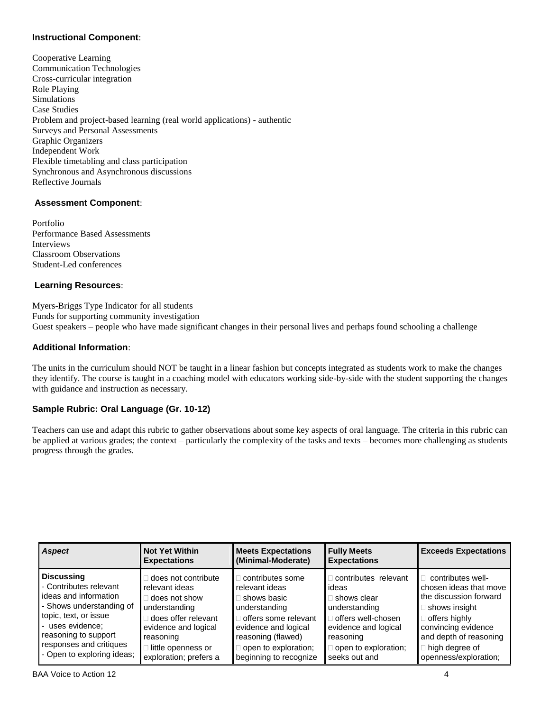# **Instructional Component**:

Cooperative Learning Communication Technologies Cross-curricular integration Role Playing Simulations Case Studies Problem and project-based learning (real world applications) - authentic Surveys and Personal Assessments Graphic Organizers Independent Work Flexible timetabling and class participation Synchronous and Asynchronous discussions Reflective Journals

# **Assessment Component**:

Portfolio Performance Based Assessments Interviews Classroom Observations Student-Led conferences

## **Learning Resources**:

Myers-Briggs Type Indicator for all students Funds for supporting community investigation Guest speakers – people who have made significant changes in their personal lives and perhaps found schooling a challenge

# **Additional Information**:

The units in the curriculum should NOT be taught in a linear fashion but concepts integrated as students work to make the changes they identify. The course is taught in a coaching model with educators working side-by-side with the student supporting the changes with guidance and instruction as necessary.

## **Sample Rubric: Oral Language (Gr. 10-12)**

Teachers can use and adapt this rubric to gather observations about some key aspects of oral language. The criteria in this rubric can be applied at various grades; the context – particularly the complexity of the tasks and texts – becomes more challenging as students progress through the grades.

| <b>Aspect</b>              | <b>Not Yet Within</b><br><b>Expectations</b> | <b>Meets Expectations</b><br>(Minimal-Moderate) | <b>Fully Meets</b><br><b>Expectations</b> | <b>Exceeds Expectations</b> |
|----------------------------|----------------------------------------------|-------------------------------------------------|-------------------------------------------|-----------------------------|
| <b>Discussing</b>          | does not contribute                          | contributes some                                | contributes relevant                      | contributes well-           |
| - Contributes relevant     | relevant ideas                               | relevant ideas                                  | ideas                                     | chosen ideas that move      |
| ideas and information      | □ does not show                              | shows basic                                     | shows clear                               | the discussion forward      |
| - Shows understanding of   | understanding                                | understanding                                   | understanding                             | shows insight               |
| topic, text, or issue      | does offer relevant                          | offers some relevant                            | offers well-chosen                        | $\Box$ offers highly        |
| - uses evidence:           | evidence and logical                         | evidence and logical                            | evidence and logical                      | convincing evidence         |
| reasoning to support       | reasoning                                    | reasoning (flawed)                              | reasoning                                 | and depth of reasoning      |
| responses and critiques    | □ little openness or                         | open to exploration;                            | open to exploration;                      | high degree of              |
| - Open to exploring ideas; | exploration; prefers a                       | beginning to recognize                          | seeks out and                             | openness/exploration;       |